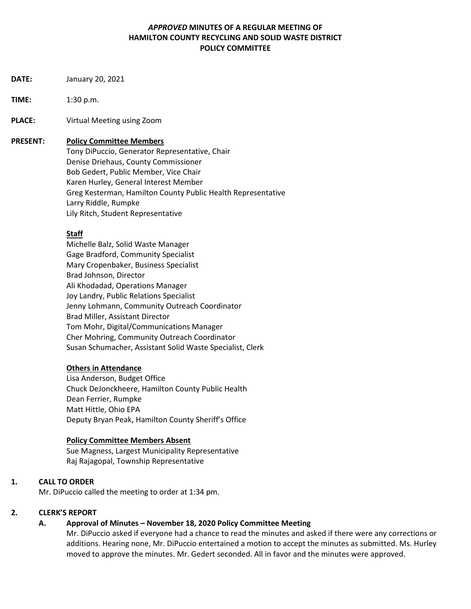### *APPROVED* **MINUTES OF A REGULAR MEETING OF HAMILTON COUNTY RECYCLING AND SOLID WASTE DISTRICT POLICY COMMITTEE**

- **DATE:** January 20, 2021
- **TIME:** 1:30 p.m.
- **PLACE:** Virtual Meeting using Zoom

#### **PRESENT: Policy Committee Members**

Tony DiPuccio, Generator Representative, Chair Denise Driehaus, County Commissioner Bob Gedert, Public Member, Vice Chair Karen Hurley, General Interest Member Greg Kesterman, Hamilton County Public Health Representative Larry Riddle, Rumpke Lily Ritch, Student Representative

### **Staff**

Michelle Balz, Solid Waste Manager Gage Bradford, Community Specialist Mary Cropenbaker, Business Specialist Brad Johnson, Director Ali Khodadad, Operations Manager Joy Landry, Public Relations Specialist Jenny Lohmann, Community Outreach Coordinator Brad Miller, Assistant Director Tom Mohr, Digital/Communications Manager Cher Mohring, Community Outreach Coordinator Susan Schumacher, Assistant Solid Waste Specialist, Clerk

### **Others in Attendance**

Lisa Anderson, Budget Office Chuck DeJonckheere, Hamilton County Public Health Dean Ferrier, Rumpke Matt Hittle, Ohio EPA Deputy Bryan Peak, Hamilton County Sheriff's Office

### **Policy Committee Members Absent**

Sue Magness, Largest Municipality Representative Raj Rajagopal, Township Representative

### **1. CALL TO ORDER**

Mr. DiPuccio called the meeting to order at 1:34 pm.

### **2. CLERK'S REPORT**

### **A. Approval of Minutes – November 18, 2020 Policy Committee Meeting**

 Mr. DiPuccio asked if everyone had a chance to read the minutes and asked if there were any corrections or additions. Hearing none, Mr. DiPuccio entertained a motion to accept the minutes as submitted. Ms. Hurley moved to approve the minutes. Mr. Gedert seconded. All in favor and the minutes were approved.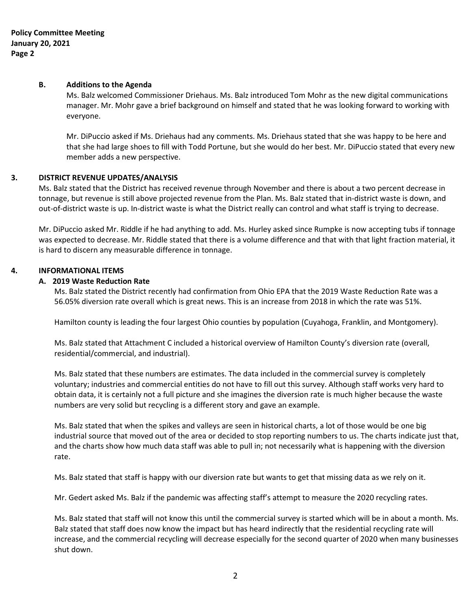#### **B. Additions to the Agenda**

Ms. Balz welcomed Commissioner Driehaus. Ms. Balz introduced Tom Mohr as the new digital communications manager. Mr. Mohr gave a brief background on himself and stated that he was looking forward to working with everyone.

Mr. DiPuccio asked if Ms. Driehaus had any comments. Ms. Driehaus stated that she was happy to be here and that she had large shoes to fill with Todd Portune, but she would do her best. Mr. DiPuccio stated that every new member adds a new perspective.

### **3. DISTRICT REVENUE UPDATES/ANALYSIS**

Ms. Balz stated that the District has received revenue through November and there is about a two percent decrease in tonnage, but revenue is still above projected revenue from the Plan. Ms. Balz stated that in-district waste is down, and out-of-district waste is up. In-district waste is what the District really can control and what staff is trying to decrease.

Mr. DiPuccio asked Mr. Riddle if he had anything to add. Ms. Hurley asked since Rumpke is now accepting tubs if tonnage was expected to decrease. Mr. Riddle stated that there is a volume difference and that with that light fraction material, it is hard to discern any measurable difference in tonnage.

### **4. INFORMATIONAL ITEMS**

#### **A. 2019 Waste Reduction Rate**

Ms. Balz stated the District recently had confirmation from Ohio EPA that the 2019 Waste Reduction Rate was a 56.05% diversion rate overall which is great news. This is an increase from 2018 in which the rate was 51%.

Hamilton county is leading the four largest Ohio counties by population (Cuyahoga, Franklin, and Montgomery).

Ms. Balz stated that Attachment C included a historical overview of Hamilton County's diversion rate (overall, residential/commercial, and industrial).

Ms. Balz stated that these numbers are estimates. The data included in the commercial survey is completely voluntary; industries and commercial entities do not have to fill out this survey. Although staff works very hard to obtain data, it is certainly not a full picture and she imagines the diversion rate is much higher because the waste numbers are very solid but recycling is a different story and gave an example.

Ms. Balz stated that when the spikes and valleys are seen in historical charts, a lot of those would be one big industrial source that moved out of the area or decided to stop reporting numbers to us. The charts indicate just that, and the charts show how much data staff was able to pull in; not necessarily what is happening with the diversion rate.

Ms. Balz stated that staff is happy with our diversion rate but wants to get that missing data as we rely on it.

Mr. Gedert asked Ms. Balz if the pandemic was affecting staff's attempt to measure the 2020 recycling rates.

Ms. Balz stated that staff will not know this until the commercial survey is started which will be in about a month. Ms. Balz stated that staff does now know the impact but has heard indirectly that the residential recycling rate will increase, and the commercial recycling will decrease especially for the second quarter of 2020 when many businesses shut down.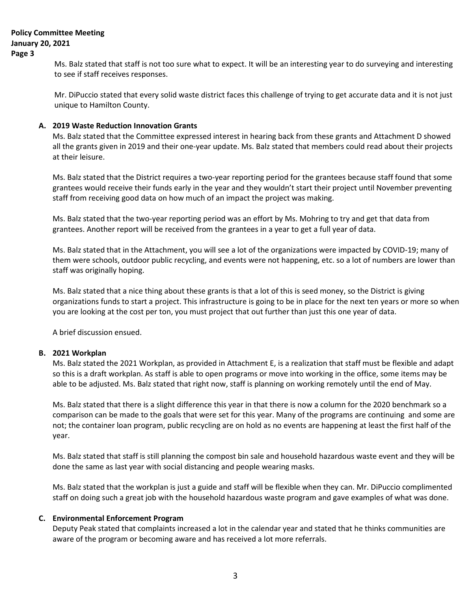Ms. Balz stated that staff is not too sure what to expect. It will be an interesting year to do surveying and interesting to see if staff receives responses.

Mr. DiPuccio stated that every solid waste district faces this challenge of trying to get accurate data and it is not just unique to Hamilton County.

#### **A. 2019 Waste Reduction Innovation Grants**

Ms. Balz stated that the Committee expressed interest in hearing back from these grants and Attachment D showed all the grants given in 2019 and their one-year update. Ms. Balz stated that members could read about their projects at their leisure.

Ms. Balz stated that the District requires a two-year reporting period for the grantees because staff found that some grantees would receive their funds early in the year and they wouldn't start their project until November preventing staff from receiving good data on how much of an impact the project was making.

Ms. Balz stated that the two-year reporting period was an effort by Ms. Mohring to try and get that data from grantees. Another report will be received from the grantees in a year to get a full year of data.

Ms. Balz stated that in the Attachment, you will see a lot of the organizations were impacted by COVID-19; many of them were schools, outdoor public recycling, and events were not happening, etc. so a lot of numbers are lower than staff was originally hoping.

Ms. Balz stated that a nice thing about these grants is that a lot of this is seed money, so the District is giving organizations funds to start a project. This infrastructure is going to be in place for the next ten years or more so when you are looking at the cost per ton, you must project that out further than just this one year of data.

A brief discussion ensued.

#### **B. 2021 Workplan**

Ms. Balz stated the 2021 Workplan, as provided in Attachment E, is a realization that staff must be flexible and adapt so this is a draft workplan. As staff is able to open programs or move into working in the office, some items may be able to be adjusted. Ms. Balz stated that right now, staff is planning on working remotely until the end of May.

Ms. Balz stated that there is a slight difference this year in that there is now a column for the 2020 benchmark so a comparison can be made to the goals that were set for this year. Many of the programs are continuing and some are not; the container loan program, public recycling are on hold as no events are happening at least the first half of the year.

Ms. Balz stated that staff is still planning the compost bin sale and household hazardous waste event and they will be done the same as last year with social distancing and people wearing masks.

Ms. Balz stated that the workplan is just a guide and staff will be flexible when they can. Mr. DiPuccio complimented staff on doing such a great job with the household hazardous waste program and gave examples of what was done.

### **C. Environmental Enforcement Program**

Deputy Peak stated that complaints increased a lot in the calendar year and stated that he thinks communities are aware of the program or becoming aware and has received a lot more referrals.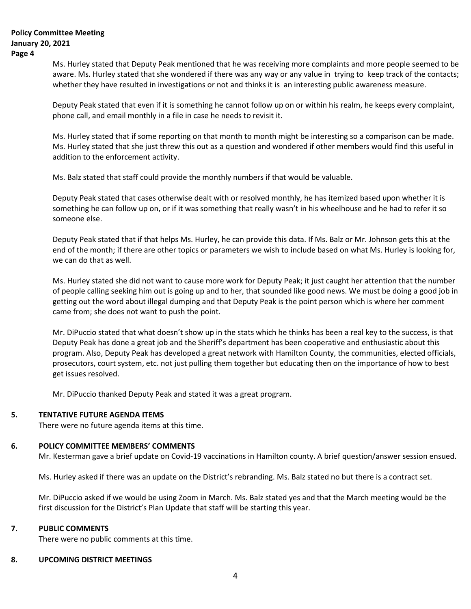Ms. Hurley stated that Deputy Peak mentioned that he was receiving more complaints and more people seemed to be aware. Ms. Hurley stated that she wondered if there was any way or any value in trying to keep track of the contacts; whether they have resulted in investigations or not and thinks it is an interesting public awareness measure.

Deputy Peak stated that even if it is something he cannot follow up on or within his realm, he keeps every complaint, phone call, and email monthly in a file in case he needs to revisit it.

Ms. Hurley stated that if some reporting on that month to month might be interesting so a comparison can be made. Ms. Hurley stated that she just threw this out as a question and wondered if other members would find this useful in addition to the enforcement activity.

Ms. Balz stated that staff could provide the monthly numbers if that would be valuable.

Deputy Peak stated that cases otherwise dealt with or resolved monthly, he has itemized based upon whether it is something he can follow up on, or if it was something that really wasn't in his wheelhouse and he had to refer it so someone else.

Deputy Peak stated that if that helps Ms. Hurley, he can provide this data. If Ms. Balz or Mr. Johnson gets this at the end of the month; if there are other topics or parameters we wish to include based on what Ms. Hurley is looking for, we can do that as well.

Ms. Hurley stated she did not want to cause more work for Deputy Peak; it just caught her attention that the number of people calling seeking him out is going up and to her, that sounded like good news. We must be doing a good job in getting out the word about illegal dumping and that Deputy Peak is the point person which is where her comment came from; she does not want to push the point.

Mr. DiPuccio stated that what doesn't show up in the stats which he thinks has been a real key to the success, is that Deputy Peak has done a great job and the Sheriff's department has been cooperative and enthusiastic about this program. Also, Deputy Peak has developed a great network with Hamilton County, the communities, elected officials, prosecutors, court system, etc. not just pulling them together but educating then on the importance of how to best get issues resolved.

Mr. DiPuccio thanked Deputy Peak and stated it was a great program.

### **5. TENTATIVE FUTURE AGENDA ITEMS**

There were no future agenda items at this time.

# **6. POLICY COMMITTEE MEMBERS' COMMENTS**

Mr. Kesterman gave a brief update on Covid-19 vaccinations in Hamilton county. A brief question/answer session ensued.

Ms. Hurley asked if there was an update on the District's rebranding. Ms. Balz stated no but there is a contract set.

Mr. DiPuccio asked if we would be using Zoom in March. Ms. Balz stated yes and that the March meeting would be the first discussion for the District's Plan Update that staff will be starting this year.

# **7. PUBLIC COMMENTS**

There were no public comments at this time.

## **8. UPCOMING DISTRICT MEETINGS**